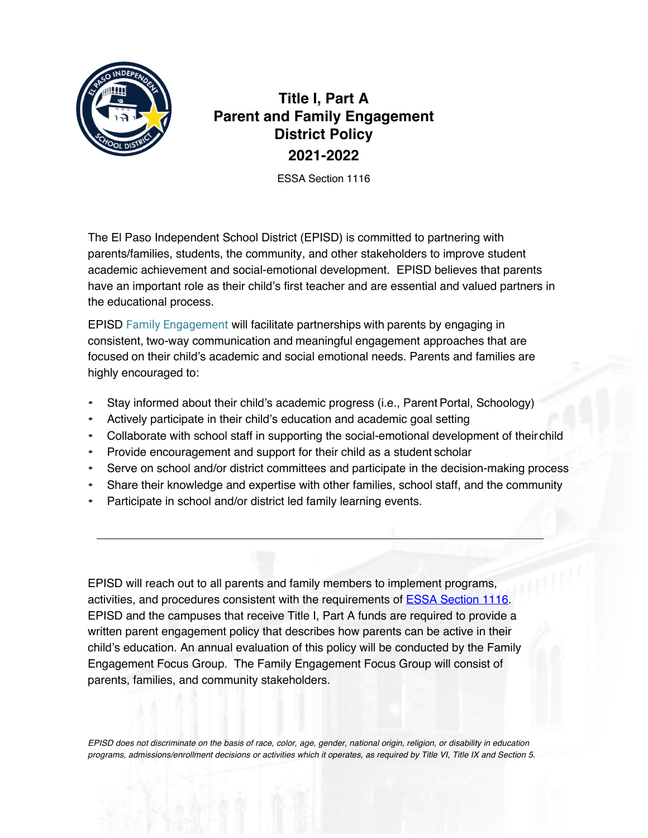

# **Title I, Part A Parent and Family Engagement District Policy 2021-2022**

ESSA Section 1116

The El Paso Independent School District (EPISD) is committed to partnering with parents/families, students, the community, and other stakeholders to improve student academic achievement and social-emotional development. EPISD believes that parents have an important role as their child's first teacher and are essential and valued partners in the educational process.

EPISD Family Engagement will facilitate partnerships with parents by engaging in consistent, two-way communication and meaningful engagement approaches that are focused on their child's academic and social emotional needs. Parents and families are highly encouraged to:

- Stay informed about their child's academic progress (i.e., ParentPortal, Schoology)
- Actively participate in their child's education and academic goal setting
- Collaborate with school staff in supporting the social-emotional development of theirchild
- Provide encouragement and support for their child as a student scholar
- Serve on school and/or district committees and participate in the decision-making process
- Share their knowledge and expertise with other families, school staff, and the community
- Participate in school and/or district led family learning events.

EPISD will reach out to all parents and family members to implement programs, activities, and procedures consistent with the requirements of ESSA Section 1116. EPISD and the campuses that receive Title I, Part A funds are required to provide a written parent engagement policy that describes how parents can be active in their child's education. An annual evaluation of this policy will be conducted by the Family Engagement Focus Group. The Family Engagement Focus Group will consist of parents, families, and community stakeholders.

*EPISD does not discriminate on the basis of race, color, age, gender, national origin, religion, or disability in education programs, admissions/enrollment decisions or activities which it operates, as required by Title VI, Title IX and Section 5.*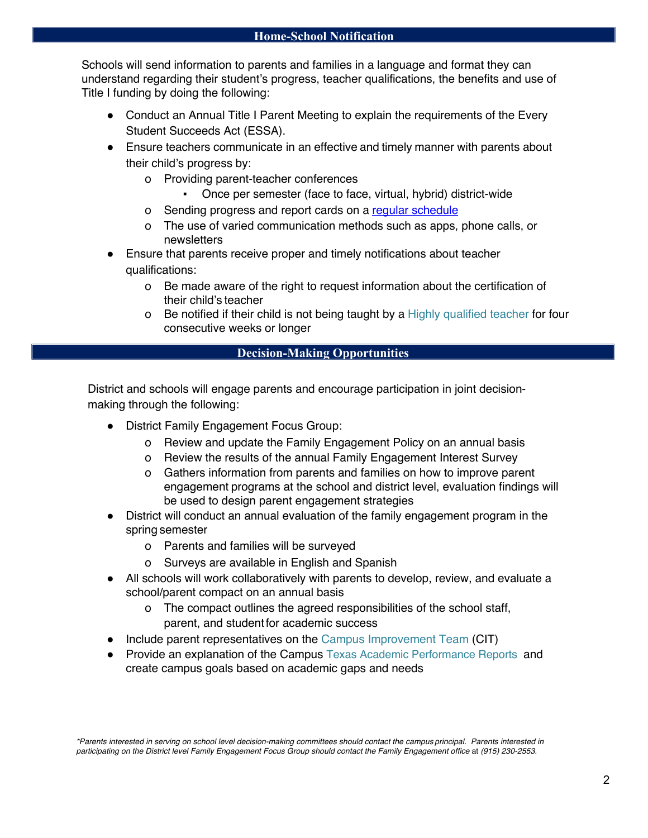Schools will send information to parents and families in a language and format they can understand regarding their student's progress, teacher qualifications, the benefits and use of Title I funding by doing the following:

- Conduct an Annual Title I Parent Meeting to explain the requirements of the Every Student Succeeds Act (ESSA).
- Ensure teachers communicate in an effective and timely manner with parents about their child's progress by:
	- o Providing parent-teacher conferences
		- Once per semester (face to face, virtual, hybrid) district-wide
	- o Sending progress and report cards on a regular schedule
	- o The use of varied communication methods such as apps, phone calls, or newsletters
- Ensure that parents receive proper and timely notifications about teacher qualifications:
	- o Be made aware of the right to request information about the certification of their child's teacher
	- o Be notified if their child is not being taught by a Highly qualified teacher for four consecutive weeks or longer

### **Decision-Making Opportunities**

District and schools will engage parents and encourage participation in joint decisionmaking through the following:

- District Family Engagement Focus Group:
	- o Review and update the Family Engagement Policy on an annual basis
	- o Review the results of the annual Family Engagement Interest Survey
	- o Gathers information from parents and families on how to improve parent engagement programs at the school and district level, evaluation findings will be used to design parent engagement strategies
- District will conduct an annual evaluation of the family engagement program in the spring semester
	- o Parents and families will be surveyed
	- o Surveys are available in English and Spanish
- All schools will work collaboratively with parents to develop, review, and evaluate a school/parent compact on an annual basis
	- o The compact outlines the agreed responsibilities of the school staff, parent, and studentfor academic success
- Include parent representatives on the Campus Improvement Team (CIT)
- Provide an explanation of the Campus Texas Academic Performance Reports and create campus goals based on academic gaps and needs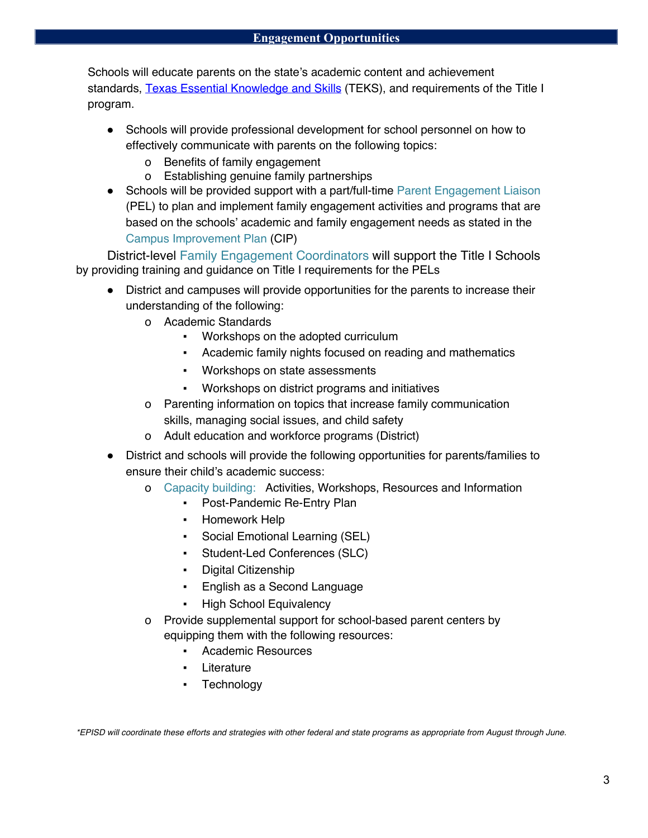Schools will educate parents on the state's academic content and achievement standards, Texas Essential Knowledge and Skills (TEKS), and requirements of the Title I program.

- Schools will provide professional development for school personnel on how to effectively communicate with parents on the following topics:
	- o Benefits of family engagement
	- o Establishing genuine family partnerships
- Schools will be provided support with a part/full-time Parent Engagement Liaison (PEL) to plan and implement family engagement activities and programs that are based on the schools' academic and family engagement needs as stated in the Campus Improvement Plan (CIP)

District-level Family Engagement Coordinators will support the Title I Schools by providing training and guidance on Title I requirements for the PELs

- District and campuses will provide opportunities for the parents to increase their understanding of the following:
	- o Academic Standards
		- Workshops on the adopted curriculum
		- Academic family nights focused on reading and mathematics
		- Workshops on state assessments
		- Workshops on district programs and initiatives
	- o Parenting information on topics that increase family communication skills, managing social issues, and child safety
	- o Adult education and workforce programs (District)
- District and schools will provide the following opportunities for parents/families to ensure their child's academic success:
	- o Capacity building: Activities, Workshops, Resources and Information
		- Post-Pandemic Re-Entry Plan
		- Homework Help
		- Social Emotional Learning (SEL)
		- Student-Led Conferences (SLC)
		- Digital Citizenship
		- English as a Second Language
		- **High School Equivalency**
	- o Provide supplemental support for school-based parent centers by equipping them with the following resources:
		- Academic Resources
		- Literature
		- Technology

*\*EPISD will coordinate these efforts and strategies with other federal and state programs as appropriate from August through June.*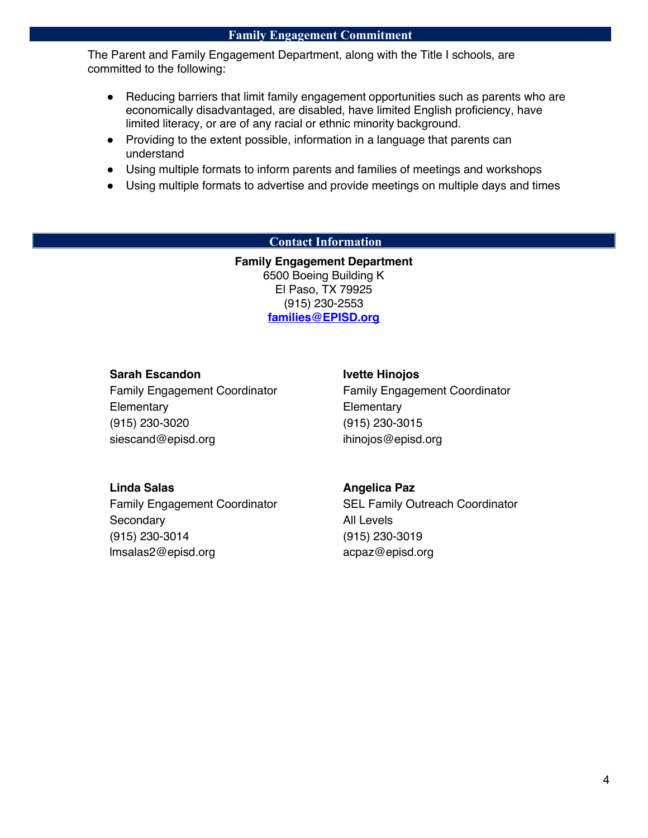#### **Family Engagement Commitment**

The Parent and Family Engagement Department, along with the Title I schools, are committed to the following:

- Reducing barriers that limit family engagement opportunities such as parents who are economically disadvantaged, are disabled, have limited English proficiency, have limited literacy, or are of any racial or ethnic minority background.
- Providing to the extent possible, information in a language that parents can understand
- Using multiple formats to inform parents and families of meetings and workshops
- Using multiple formats to advertise and provide meetings on multiple days and times

#### **Contact Information**

**Family Engagement Department**  6500 Boeing Building K El Paso, TX 79925 (915) 230-2553 **families@EPISD.org**

#### **Sarah Escandon**

Family Engagement Coordinator **Elementary** (915) 230-3020 siescand@episd.org

#### **Ivette Hinojos**

Family Engagement Coordinator **Elementary** (915) 230-3015 ihinojos@episd.org

#### **Linda Salas**

Family Engagement Coordinator **Secondary** (915) 230-3014 lmsalas2@episd.org

#### **Angelica Paz**

SEL Family Outreach Coordinator All Levels (915) 230-3019 acpaz@episd.org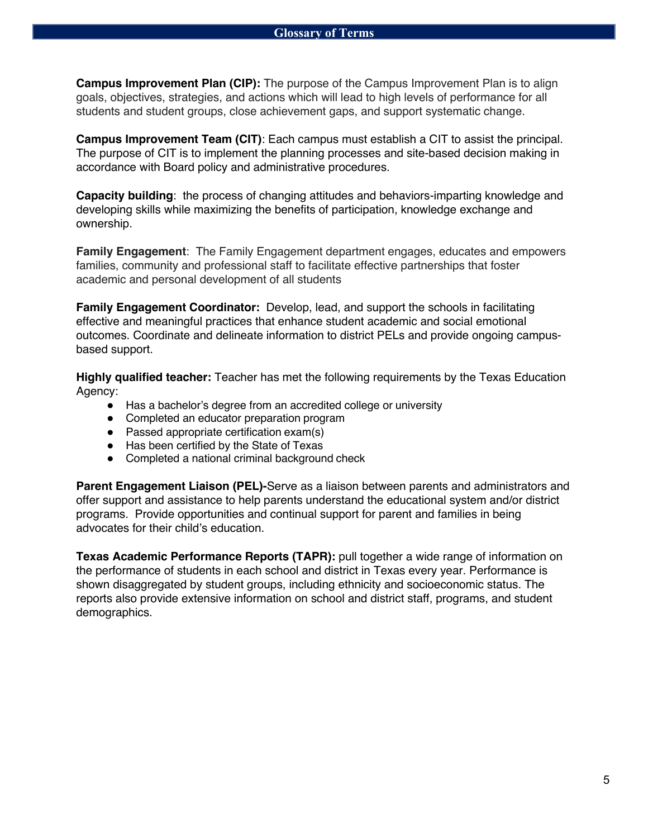**Campus Improvement Plan (CIP):** The purpose of the Campus Improvement Plan is to align goals, objectives, strategies, and actions which will lead to high levels of performance for all students and student groups, close achievement gaps, and support systematic change.

**Campus Improvement Team (CIT)**: Each campus must establish a CIT to assist the principal. The purpose of CIT is to implement the planning processes and site-based decision making in accordance with Board policy and administrative procedures.

**Capacity building**: the process of changing attitudes and behaviors-imparting knowledge and developing skills while maximizing the benefits of participation, knowledge exchange and ownership.

**Family Engagement**: The Family Engagement department engages, educates and empowers families, community and professional staff to facilitate effective partnerships that foster academic and personal development of all students

**Family Engagement Coordinator:** Develop, lead, and support the schools in facilitating effective and meaningful practices that enhance student academic and social emotional outcomes. Coordinate and delineate information to district PELs and provide ongoing campusbased support.

**Highly qualified teacher:** Teacher has met the following requirements by the Texas Education Agency:

- Has a bachelor's degree from an accredited college or university
- Completed an educator preparation program
- Passed appropriate certification exam(s)
- Has been certified by the State of Texas
- Completed a national criminal background check

**Parent Engagement Liaison (PEL)-**Serve as a liaison between parents and administrators and offer support and assistance to help parents understand the educational system and/or district programs. Provide opportunities and continual support for parent and families in being advocates for their child's education.

**Texas Academic Performance Reports (TAPR):** pull together a wide range of information on the performance of students in each school and district in Texas every year. Performance is shown disaggregated by student groups, including ethnicity and socioeconomic status. The reports also provide extensive information on school and district staff, programs, and student demographics.